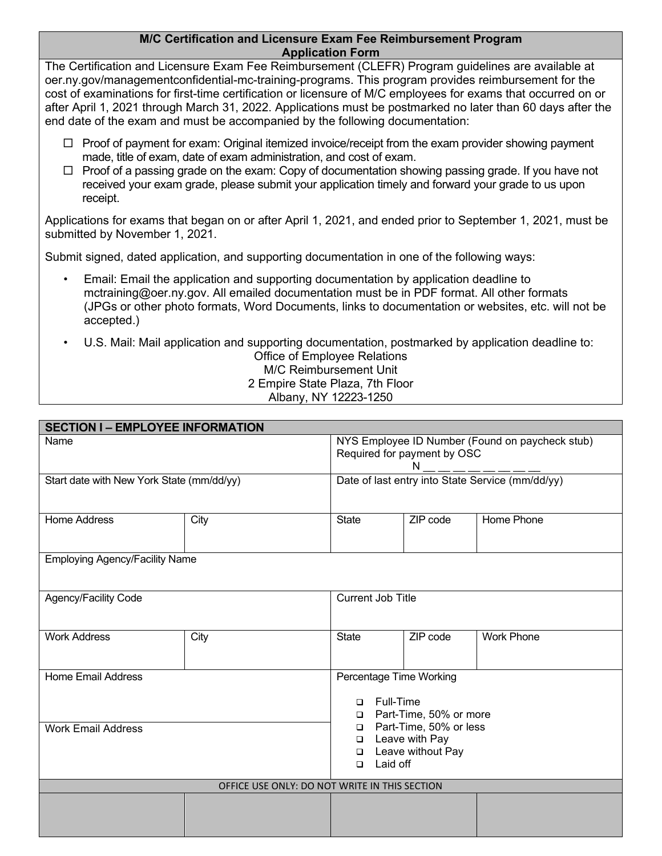## **M/C Certification and Licensure Exam Fee Reimbursement Program Application Form**

The Certification and Licensure Exam Fee Reimbursement (CLEFR) Program guidelines are available at oer.ny.gov/managementconfidential-mc-training-programs. This program provides reimbursement for the cost of examinations for first-time certification or licensure of M/C employees for exams that occurred on or after April 1, 2021 through March 31, 2022. Applications must be postmarked no later than 60 days after the end date of the exam and must be accompanied by the following documentation:

- $\Box$  Proof of payment for exam: Original itemized invoice/receipt from the exam provider showing payment made, title of exam, date of exam administration, and cost of exam.
- $\Box$  Proof of a passing grade on the exam: Copy of documentation showing passing grade. If you have not received your exam grade, please submit your application timely and forward your grade to us upon receipt.

Applications for exams that began on or after April 1, 2021, and ended prior to September 1, 2021, must be submitted by November 1, 2021.

Submit signed, dated application, and supporting documentation in one of the following ways:

- Email: Email the application and supporting documentation by application deadline to mctraining@oer.ny.gov. All emailed documentation must be in PDF format. All other formats (JPGs or other photo formats, Word Documents, links to documentation or websites, etc. will not be accepted.)
- U.S. Mail: Mail application and supporting documentation, postmarked by application deadline to: Office of Employee Relations M/C Reimbursement Unit 2 Empire State Plaza, 7th Floor Albany, NY 12223-1250

| <b>SECTION I - EMPLOYEE INFORMATION</b>       |      |                                                                                                                   |  |          |                   |  |  |  |
|-----------------------------------------------|------|-------------------------------------------------------------------------------------------------------------------|--|----------|-------------------|--|--|--|
| Name                                          |      | NYS Employee ID Number (Found on paycheck stub)<br>Required for payment by OSC<br>N                               |  |          |                   |  |  |  |
| Start date with New York State (mm/dd/yy)     |      | Date of last entry into State Service (mm/dd/yy)                                                                  |  |          |                   |  |  |  |
| <b>Home Address</b>                           | City | <b>State</b>                                                                                                      |  | ZIP code | Home Phone        |  |  |  |
| <b>Employing Agency/Facility Name</b>         |      |                                                                                                                   |  |          |                   |  |  |  |
| Agency/Facility Code                          |      | <b>Current Job Title</b>                                                                                          |  |          |                   |  |  |  |
| <b>Work Address</b>                           | City | State                                                                                                             |  | ZIP code | <b>Work Phone</b> |  |  |  |
| <b>Home Email Address</b>                     |      | Percentage Time Working<br><b>Full-Time</b><br>$\Box$<br>□ Part-Time, 50% or more                                 |  |          |                   |  |  |  |
| <b>Work Email Address</b>                     |      | Part-Time, 50% or less<br>$\Box$<br>Leave with Pay<br>$\Box$<br>Leave without Pay<br>$\Box$<br>Laid off<br>$\Box$ |  |          |                   |  |  |  |
| OFFICE USE ONLY: DO NOT WRITE IN THIS SECTION |      |                                                                                                                   |  |          |                   |  |  |  |
|                                               |      |                                                                                                                   |  |          |                   |  |  |  |